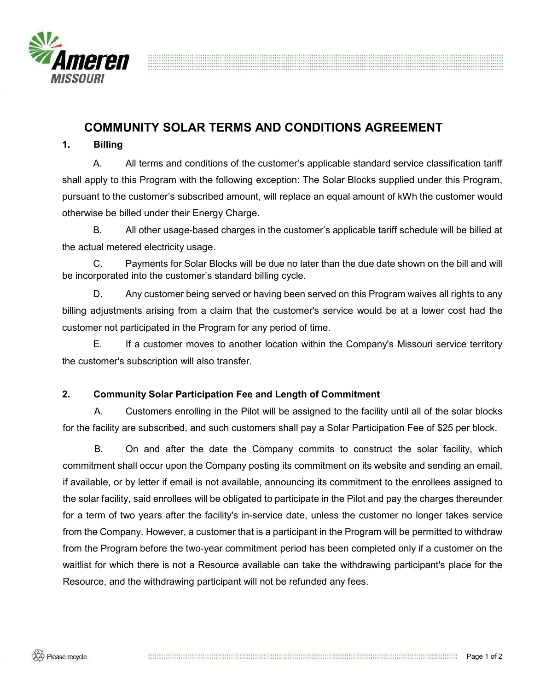

# COMMUNITY SOLAR TERMS AND CONDITIONS AGREEMENT

#### 1. Billing

A. All terms and conditions of the customer's applicable standard service classification tariff shall apply to this Program with the following exception: The Solar Blocks supplied under this Program, pursuant to the customer's subscribed amount, will replace an equal amount of kWh the customer would otherwise be billed under their Energy Charge.

B. All other usage-based charges in the customer's applicable tariff schedule will be billed at the actual metered electricity usage.

C. Payments for Solar Blocks will be due no later than the due date shown on the bill and will be incorporated into the customer's standard billing cycle.

D. Any customer being served or having been served on this Program waives all rights to any billing adjustments arising from a claim that the customer's service would be at a lower cost had the customer not participated in the Program for any period of time.

E. If a customer moves to another location within the Company's Missouri service territory the customer's subscription will also transfer.

## 2. Community Solar Participation Fee and Length of Commitment

A. Customers enrolling in the Pilot will be assigned to the facility until all of the solar blocks for the facility are subscribed, and such customers shall pay a Solar Participation Fee of \$25 per block.

B. On and after the date the Company commits to construct the solar facility, which commitment shall occur upon the Company posting its commitment on its website and sending an email, if available, or by letter if email is not available, announcing its commitment to the enrollees assigned to the solar facility, said enrollees will be obligated to participate in the Pilot and pay the charges thereunder for a term of two years after the facility's in-service date, unless the customer no longer takes service from the Company. However, a customer that is a participant in the Program will be permitted to withdraw from the Program before the two-year commitment period has been completed only if a customer on the waitlist for which there is not a Resource available can take the withdrawing participant's place for the Resource, and the withdrawing participant will not be refunded any fees.